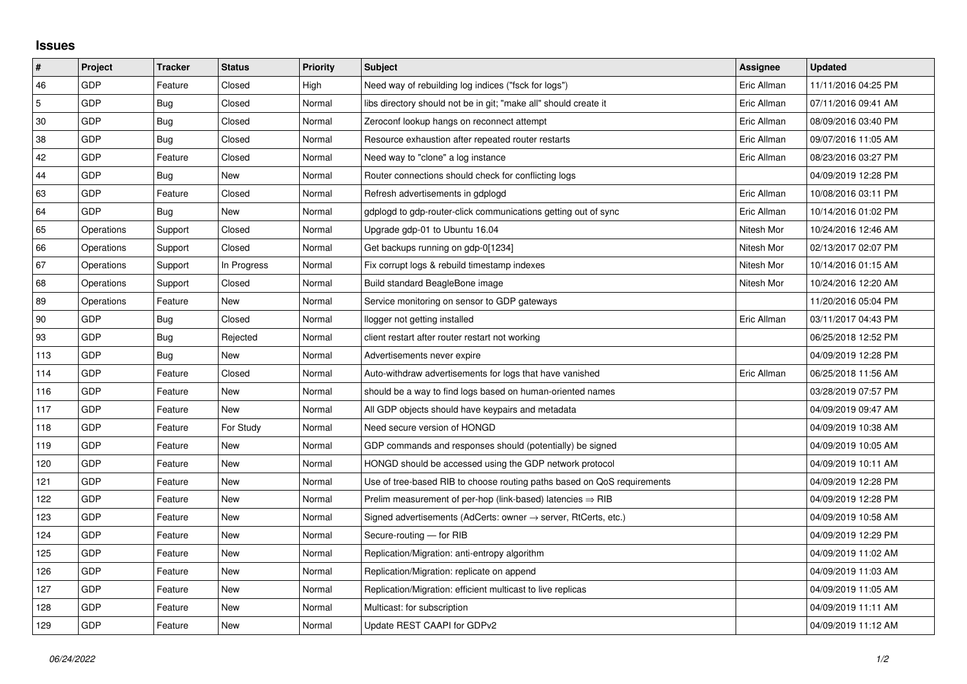## **Issues**

| $\vert$ #      | Project    | <b>Tracker</b> | <b>Status</b> | <b>Priority</b> | <b>Subject</b>                                                          | Assignee    | <b>Updated</b>      |
|----------------|------------|----------------|---------------|-----------------|-------------------------------------------------------------------------|-------------|---------------------|
| 46             | GDP        | Feature        | Closed        | High            | Need way of rebuilding log indices ("fsck for logs")                    | Eric Allman | 11/11/2016 04:25 PM |
| $\overline{5}$ | GDP        | Bug            | Closed        | Normal          | libs directory should not be in git; "make all" should create it        | Eric Allman | 07/11/2016 09:41 AM |
| 30             | <b>GDP</b> | Bug            | Closed        | Normal          | Zeroconf lookup hangs on reconnect attempt                              | Eric Allman | 08/09/2016 03:40 PM |
| 38             | GDP        | Bug            | Closed        | Normal          | Resource exhaustion after repeated router restarts                      | Eric Allman | 09/07/2016 11:05 AM |
| 42             | GDP        | Feature        | Closed        | Normal          | Need way to "clone" a log instance                                      | Eric Allman | 08/23/2016 03:27 PM |
| 44             | GDP        | Bug            | New           | Normal          | Router connections should check for conflicting logs                    |             | 04/09/2019 12:28 PM |
| 63             | GDP        | Feature        | Closed        | Normal          | Refresh advertisements in gdplogd                                       | Eric Allman | 10/08/2016 03:11 PM |
| 64             | GDP        | Bug            | New           | Normal          | gdplogd to gdp-router-click communications getting out of sync          | Eric Allman | 10/14/2016 01:02 PM |
| 65             | Operations | Support        | Closed        | Normal          | Upgrade gdp-01 to Ubuntu 16.04                                          | Nitesh Mor  | 10/24/2016 12:46 AM |
| 66             | Operations | Support        | Closed        | Normal          | Get backups running on gdp-0[1234]                                      | Nitesh Mor  | 02/13/2017 02:07 PM |
| 67             | Operations | Support        | In Progress   | Normal          | Fix corrupt logs & rebuild timestamp indexes                            | Nitesh Mor  | 10/14/2016 01:15 AM |
| 68             | Operations | Support        | Closed        | Normal          | Build standard BeagleBone image                                         | Nitesh Mor  | 10/24/2016 12:20 AM |
| 89             | Operations | Feature        | New           | Normal          | Service monitoring on sensor to GDP gateways                            |             | 11/20/2016 05:04 PM |
| 90             | GDP        | Bug            | Closed        | Normal          | llogger not getting installed                                           | Eric Allman | 03/11/2017 04:43 PM |
| 93             | GDP        | Bug            | Rejected      | Normal          | client restart after router restart not working                         |             | 06/25/2018 12:52 PM |
| 113            | GDP        | Bug            | New           | Normal          | Advertisements never expire                                             |             | 04/09/2019 12:28 PM |
| 114            | GDP        | Feature        | Closed        | Normal          | Auto-withdraw advertisements for logs that have vanished                | Eric Allman | 06/25/2018 11:56 AM |
| 116            | GDP        | Feature        | <b>New</b>    | Normal          | should be a way to find logs based on human-oriented names              |             | 03/28/2019 07:57 PM |
| 117            | GDP        | Feature        | New           | Normal          | All GDP objects should have keypairs and metadata                       |             | 04/09/2019 09:47 AM |
| 118            | GDP        | Feature        | For Study     | Normal          | Need secure version of HONGD                                            |             | 04/09/2019 10:38 AM |
| 119            | GDP        | Feature        | New           | Normal          | GDP commands and responses should (potentially) be signed               |             | 04/09/2019 10:05 AM |
| 120            | GDP        | Feature        | New           | Normal          | HONGD should be accessed using the GDP network protocol                 |             | 04/09/2019 10:11 AM |
| 121            | GDP        | Feature        | New           | Normal          | Use of tree-based RIB to choose routing paths based on QoS requirements |             | 04/09/2019 12:28 PM |
| 122            | GDP        | Feature        | New           | Normal          | Prelim measurement of per-hop (link-based) latencies $\Rightarrow$ RIB  |             | 04/09/2019 12:28 PM |
| 123            | GDP        | Feature        | New           | Normal          | Signed advertisements (AdCerts: owner → server, RtCerts, etc.)          |             | 04/09/2019 10:58 AM |
| 124            | GDP        | Feature        | New           | Normal          | Secure-routing - for RIB                                                |             | 04/09/2019 12:29 PM |
| 125            | GDP        | Feature        | New           | Normal          | Replication/Migration: anti-entropy algorithm                           |             | 04/09/2019 11:02 AM |
| 126            | GDP        | Feature        | New           | Normal          | Replication/Migration: replicate on append                              |             | 04/09/2019 11:03 AM |
| 127            | GDP        | Feature        | New           | Normal          | Replication/Migration: efficient multicast to live replicas             |             | 04/09/2019 11:05 AM |
| 128            | GDP        | Feature        | New           | Normal          | Multicast: for subscription                                             |             | 04/09/2019 11:11 AM |
| 129            | GDP        | Feature        | New           | Normal          | Update REST CAAPI for GDPv2                                             |             | 04/09/2019 11:12 AM |